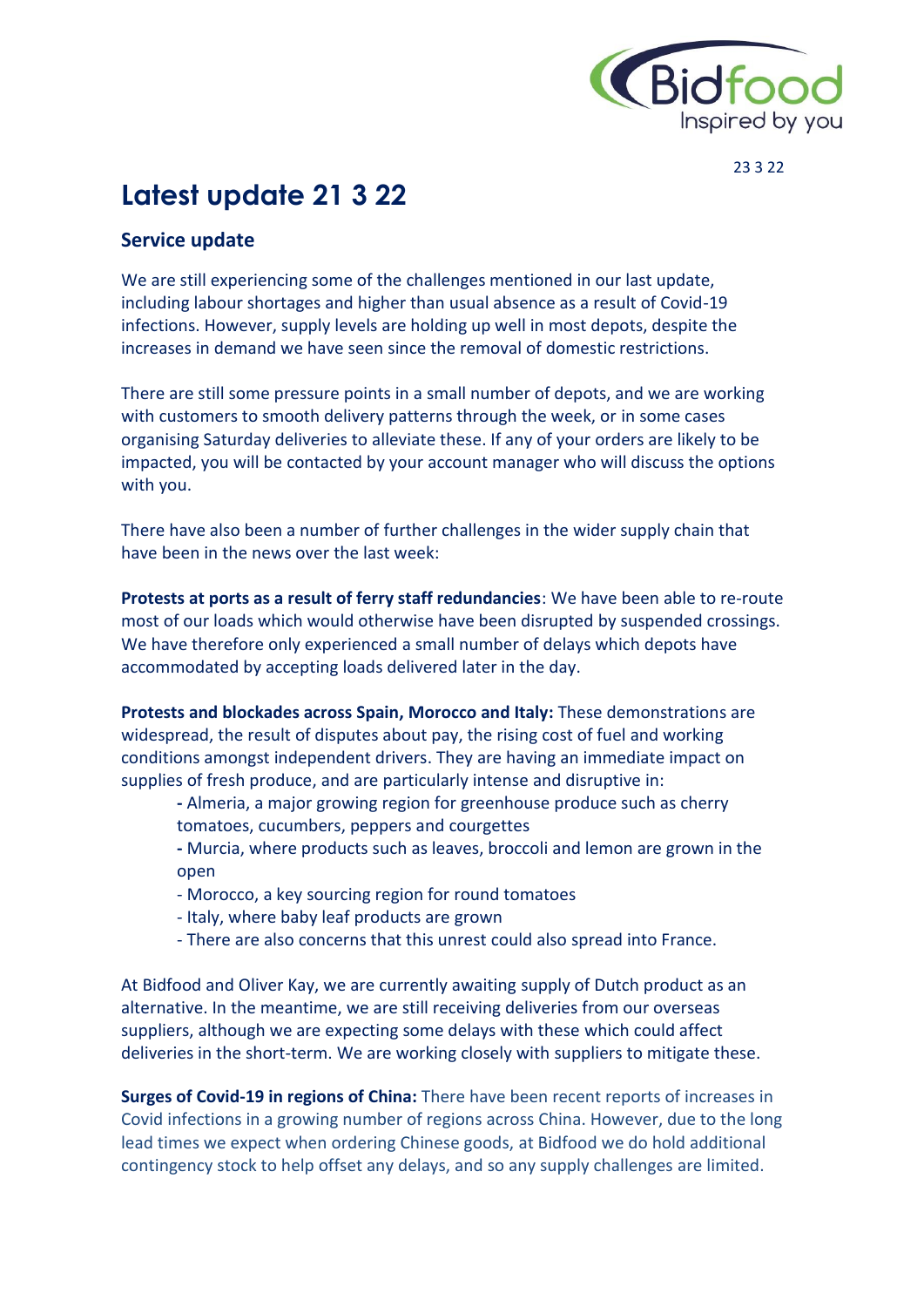

23 3 22

# **Latest update 21 3 22**

# **Service update**

We are still experiencing some of the challenges mentioned in our last update, including labour shortages and higher than usual absence as a result of Covid-19 infections. However, supply levels are holding up well in most depots, despite the increases in demand we have seen since the removal of domestic restrictions.

There are still some pressure points in a small number of depots, and we are working with customers to smooth delivery patterns through the week, or in some cases organising Saturday deliveries to alleviate these. If any of your orders are likely to be impacted, you will be contacted by your account manager who will discuss the options with you.

There have also been a number of further challenges in the wider supply chain that have been in the news over the last week:

**Protests at ports as a result of ferry staff redundancies**: We have been able to re-route most of our loads which would otherwise have been disrupted by suspended crossings. We have therefore only experienced a small number of delays which depots have accommodated by accepting loads delivered later in the day.

**Protests and blockades across Spain, Morocco and Italy:** These demonstrations are widespread, the result of disputes about pay, the rising cost of fuel and working conditions amongst independent drivers. They are having an immediate impact on supplies of fresh produce, and are particularly intense and disruptive in:

- **-** Almeria, a major growing region for greenhouse produce such as cherry tomatoes, cucumbers, peppers and courgettes
- **-** Murcia, where products such as leaves, broccoli and lemon are grown in the open
- Morocco, a key sourcing region for round tomatoes
- Italy, where baby leaf products are grown
- There are also concerns that this unrest could also spread into France.

At Bidfood and Oliver Kay, we are currently awaiting supply of Dutch product as an alternative. In the meantime, we are still receiving deliveries from our overseas suppliers, although we are expecting some delays with these which could affect deliveries in the short-term. We are working closely with suppliers to mitigate these.

**Surges of Covid-19 in regions of China:** There have been recent reports of increases in Covid infections in a growing number of regions across China. However, due to the long lead times we expect when ordering Chinese goods, at Bidfood we do hold additional contingency stock to help offset any delays, and so any supply challenges are limited.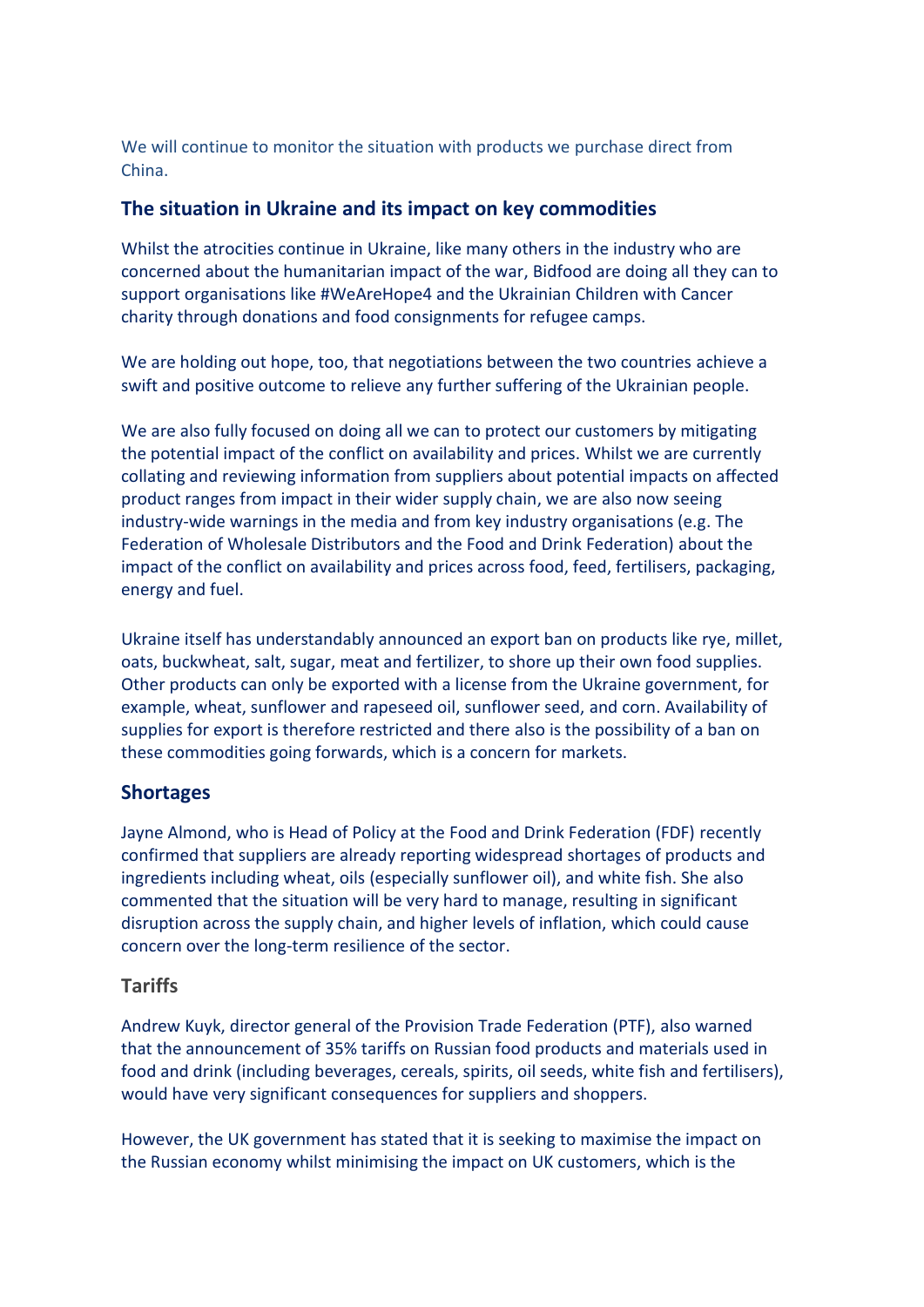We will continue to monitor the situation with products we purchase direct from China.

## **The situation in Ukraine and its impact on key commodities**

Whilst the atrocities continue in Ukraine, like many others in the industry who are concerned about the humanitarian impact of the war, Bidfood are doing all they can to support organisations like #WeAreHope4 and the Ukrainian Children with Cancer charity through donations and food consignments for refugee camps.

We are holding out hope, too, that negotiations between the two countries achieve a swift and positive outcome to relieve any further suffering of the Ukrainian people.

We are also fully focused on doing all we can to protect our customers by mitigating the potential impact of the conflict on availability and prices. Whilst we are currently collating and reviewing information from suppliers about potential impacts on affected product ranges from impact in their wider supply chain, we are also now seeing industry-wide warnings in the media and from key industry organisations (e.g. The Federation of Wholesale Distributors and the Food and Drink Federation) about the impact of the conflict on availability and prices across food, feed, fertilisers, packaging, energy and fuel.

Ukraine itself has understandably announced an export ban on products like rye, millet, oats, buckwheat, salt, sugar, meat and fertilizer, to shore up their own food supplies. Other products can only be exported with a license from the Ukraine government, for example, wheat, sunflower and rapeseed oil, sunflower seed, and corn. Availability of supplies for export is therefore restricted and there also is the possibility of a ban on these commodities going forwards, which is a concern for markets.

# **Shortages**

Jayne Almond, who is Head of Policy at the Food and Drink Federation (FDF) recently confirmed that suppliers are already reporting widespread shortages of products and ingredients including wheat, oils (especially sunflower oil), and white fish. She also commented that the situation will be very hard to manage, resulting in significant disruption across the supply chain, and higher levels of inflation, which could cause concern over the long-term resilience of the sector.

#### **Tariffs**

Andrew Kuyk, director general of the Provision Trade Federation (PTF), also warned that the announcement of 35% tariffs on Russian food products and materials used in food and drink (including beverages, cereals, spirits, oil seeds, white fish and fertilisers), would have very significant consequences for suppliers and shoppers.

However, the UK government has stated that it is seeking to maximise the impact on the Russian economy whilst minimising the impact on UK customers, which is the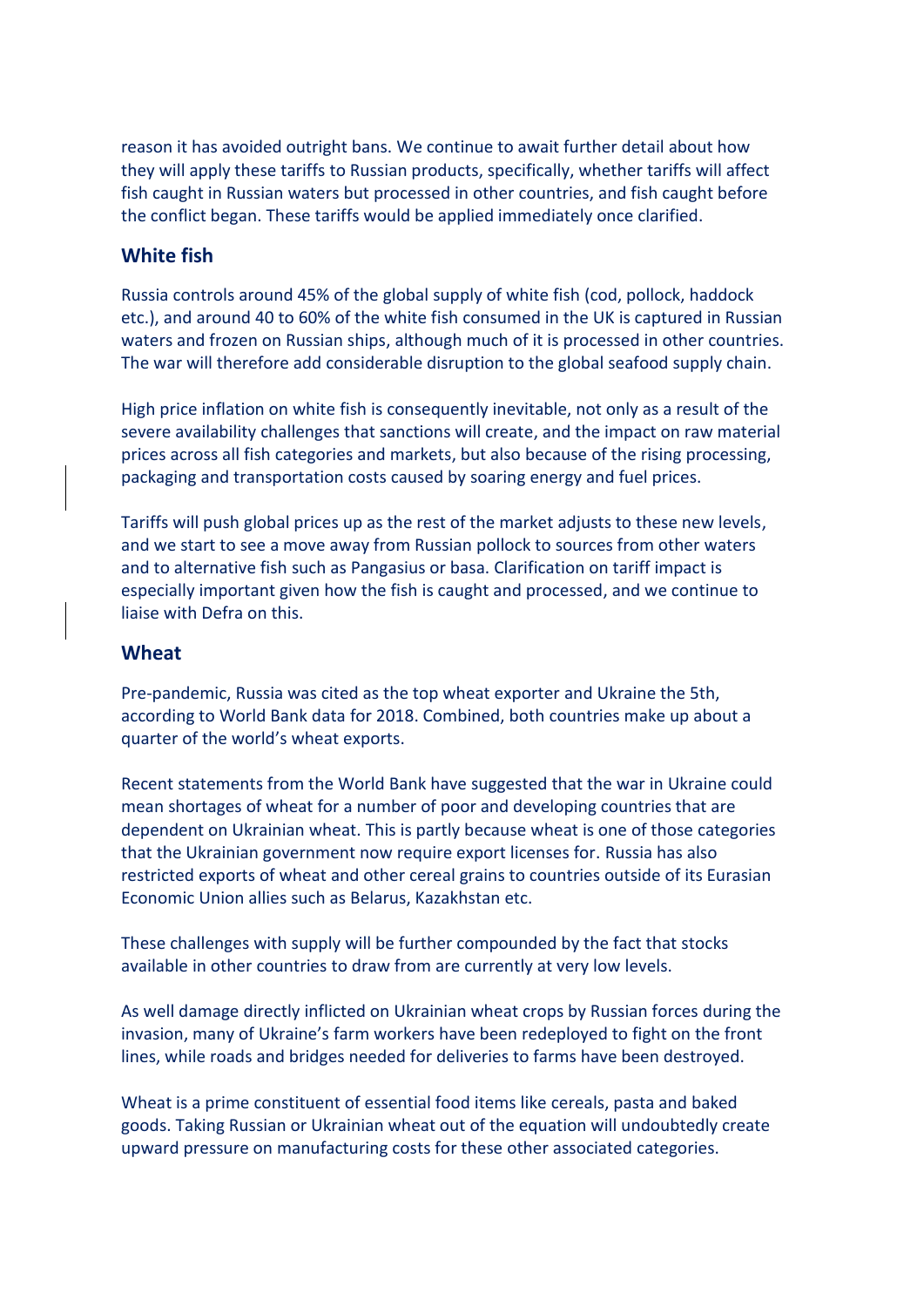reason it has avoided outright bans. We continue to await further detail about how they will apply these tariffs to Russian products, specifically, whether tariffs will affect fish caught in Russian waters but processed in other countries, and fish caught before the conflict began. These tariffs would be applied immediately once clarified.

## **White fish**

Russia controls around 45% of the global supply of white fish (cod, pollock, haddock etc.), and around 40 to 60% of the white fish consumed in the UK is captured in Russian waters and frozen on Russian ships, although much of it is processed in other countries. The war will therefore add considerable disruption to the global seafood supply chain.

High price inflation on white fish is consequently inevitable, not only as a result of the severe availability challenges that sanctions will create, and the impact on raw material prices across all fish categories and markets, but also because of the rising processing, packaging and transportation costs caused by soaring energy and fuel prices.

Tariffs will push global prices up as the rest of the market adjusts to these new levels, and we start to see a move away from Russian pollock to sources from other waters and to alternative fish such as Pangasius or basa. Clarification on tariff impact is especially important given how the fish is caught and processed, and we continue to liaise with Defra on this.

#### **Wheat**

Pre-pandemic, Russia was cited as the top wheat exporter and Ukraine the 5th, according to World Bank data for 2018. Combined, both countries make up about a quarter of the world's wheat exports.

Recent statements from the World Bank have suggested that the war in Ukraine could mean shortages of wheat for a number of poor and developing countries that are dependent on Ukrainian wheat. This is partly because wheat is one of those categories that the Ukrainian government now require export licenses for. Russia has also restricted exports of wheat and other cereal grains to countries outside of its Eurasian Economic Union allies such as Belarus, Kazakhstan etc.

These challenges with supply will be further compounded by the fact that stocks available in other countries to draw from are currently at very low levels.

As well damage directly inflicted on Ukrainian wheat crops by Russian forces during the invasion, many of Ukraine's farm workers have been redeployed to fight on the front lines, while roads and bridges needed for deliveries to farms have been destroyed.

Wheat is a prime constituent of essential food items like cereals, pasta and baked goods. Taking Russian or Ukrainian wheat out of the equation will undoubtedly create upward pressure on manufacturing costs for these other associated categories.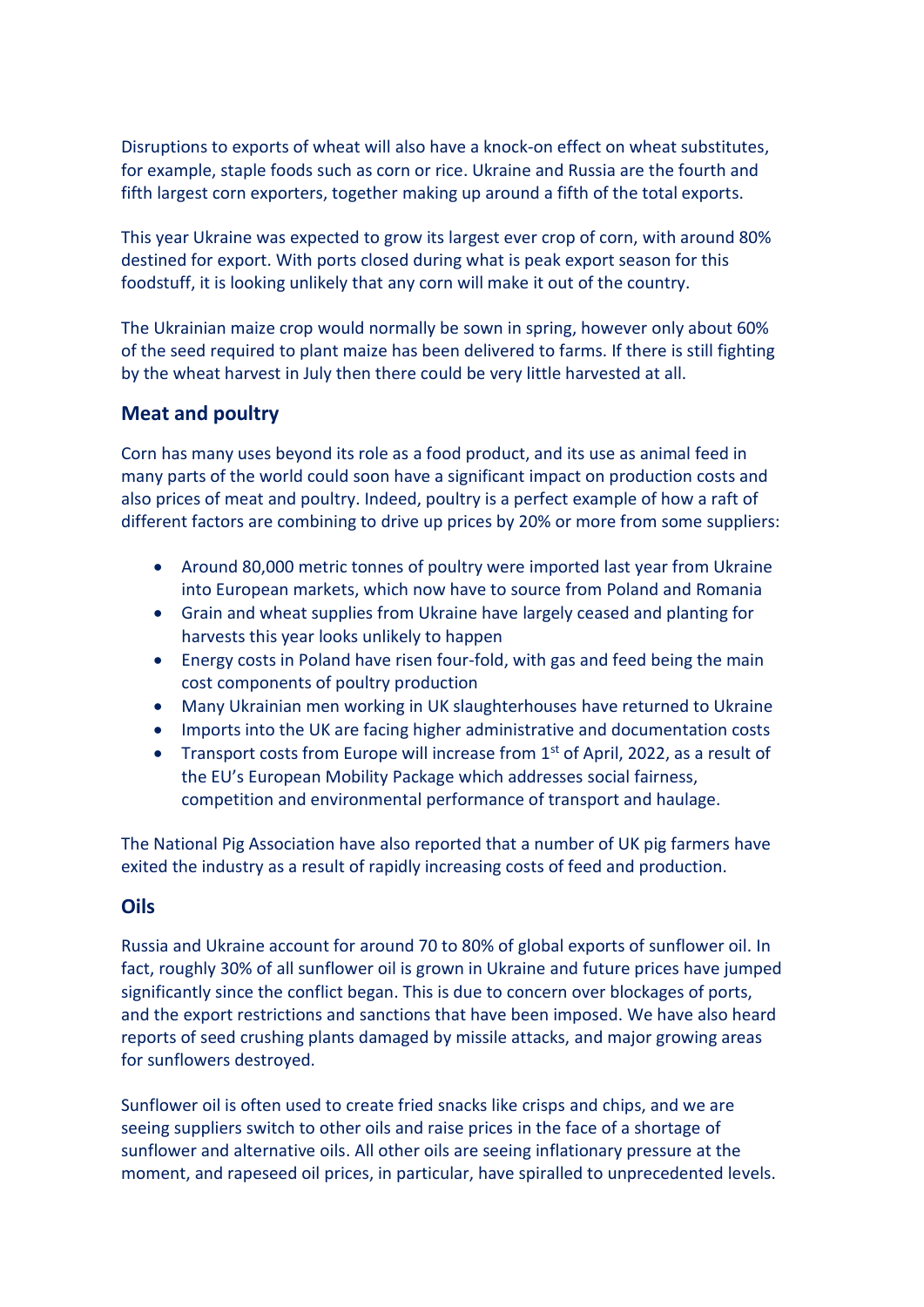Disruptions to exports of wheat will also have a knock-on effect on wheat substitutes, for example, staple foods such as corn or rice. Ukraine and Russia are the fourth and fifth largest corn exporters, together making up around a fifth of the total exports.

This year Ukraine was expected to grow its largest ever crop of corn, with around 80% destined for export. With ports closed during what is peak export season for this foodstuff, it is looking unlikely that any corn will make it out of the country.

The Ukrainian maize crop would normally be sown in spring, however only about 60% of the seed required to plant maize has been delivered to farms. If there is still fighting by the wheat harvest in July then there could be very little harvested at all.

# **Meat and poultry**

Corn has many uses beyond its role as a food product, and its use as animal feed in many parts of the world could soon have a significant impact on production costs and also prices of meat and poultry. Indeed, poultry is a perfect example of how a raft of different factors are combining to drive up prices by 20% or more from some suppliers:

- Around 80,000 metric tonnes of poultry were imported last year from Ukraine into European markets, which now have to source from Poland and Romania
- Grain and wheat supplies from Ukraine have largely ceased and planting for harvests this year looks unlikely to happen
- Energy costs in Poland have risen four-fold, with gas and feed being the main cost components of poultry production
- Many Ukrainian men working in UK slaughterhouses have returned to Ukraine
- Imports into the UK are facing higher administrative and documentation costs
- Transport costs from Europe will increase from  $1<sup>st</sup>$  of April, 2022, as a result of the EU's European Mobility Package which addresses social fairness, competition and environmental performance of transport and haulage.

The National Pig Association have also reported that a number of UK pig farmers have exited the industry as a result of rapidly increasing costs of feed and production.

#### **Oils**

Russia and Ukraine account for around 70 to 80% of global exports of sunflower oil. In fact, roughly 30% of all sunflower oil is grown in Ukraine and future prices have jumped significantly since the conflict began. This is due to concern over blockages of ports, and the export restrictions and sanctions that have been imposed. We have also heard reports of seed crushing plants damaged by missile attacks, and major growing areas for sunflowers destroyed.

Sunflower oil is often used to create fried snacks like crisps and chips, and we are seeing suppliers switch to other oils and raise prices in the face of a shortage of sunflower and alternative oils. All other oils are seeing inflationary pressure at the moment, and rapeseed oil prices, in particular, have spiralled to unprecedented levels.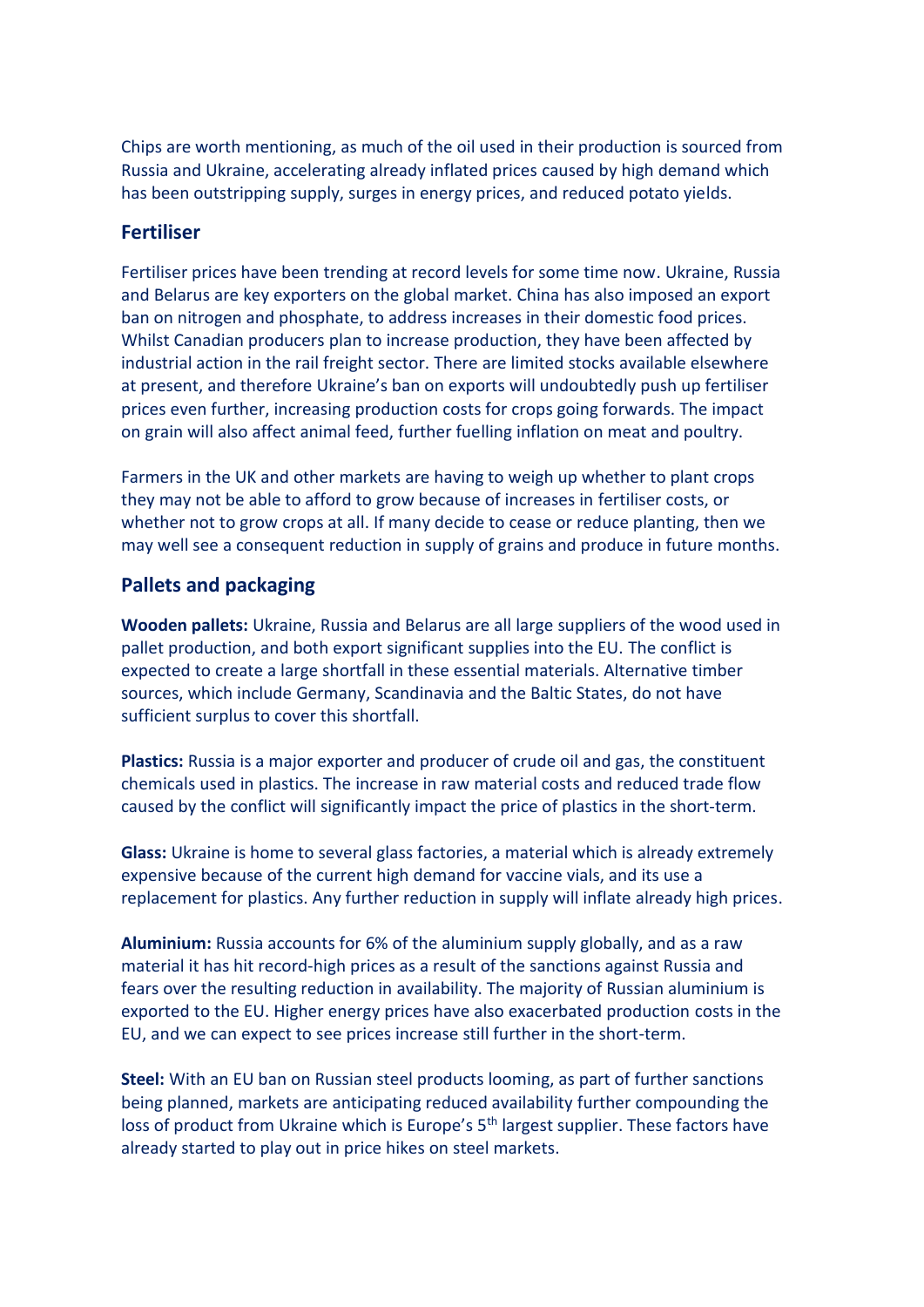Chips are worth mentioning, as much of the oil used in their production is sourced from Russia and Ukraine, accelerating already inflated prices caused by high demand which has been outstripping supply, surges in energy prices, and reduced potato yields.

# **Fertiliser**

Fertiliser prices have been trending at record levels for some time now. Ukraine, Russia and Belarus are key exporters on the global market. China has also imposed an export ban on nitrogen and phosphate, to address increases in their domestic food prices. Whilst Canadian producers plan to increase production, they have been affected by industrial action in the rail freight sector. There are limited stocks available elsewhere at present, and therefore Ukraine's ban on exports will undoubtedly push up fertiliser prices even further, increasing production costs for crops going forwards. The impact on grain will also affect animal feed, further fuelling inflation on meat and poultry.

Farmers in the UK and other markets are having to weigh up whether to plant crops they may not be able to afford to grow because of increases in fertiliser costs, or whether not to grow crops at all. If many decide to cease or reduce planting, then we may well see a consequent reduction in supply of grains and produce in future months.

# **Pallets and packaging**

**Wooden pallets:** Ukraine, Russia and Belarus are all large suppliers of the wood used in pallet production, and both export significant supplies into the EU. The conflict is expected to create a large shortfall in these essential materials. Alternative timber sources, which include Germany, Scandinavia and the Baltic States, do not have sufficient surplus to cover this shortfall.

**Plastics:** Russia is a major exporter and producer of crude oil and gas, the constituent chemicals used in plastics. The increase in raw material costs and reduced trade flow caused by the conflict will significantly impact the price of plastics in the short-term.

**Glass:** Ukraine is home to several glass factories, a material which is already extremely expensive because of the current high demand for vaccine vials, and its use a replacement for plastics. Any further reduction in supply will inflate already high prices.

**Aluminium:** Russia accounts for 6% of the aluminium supply globally, and as a raw material it has hit record-high prices as a result of the sanctions against Russia and fears over the resulting reduction in availability. The majority of Russian aluminium is exported to the EU. Higher energy prices have also exacerbated production costs in the EU, and we can expect to see prices increase still further in the short-term.

**Steel:** With an EU ban on Russian steel products looming, as part of further sanctions being planned, markets are anticipating reduced availability further compounding the loss of product from Ukraine which is Europe's 5<sup>th</sup> largest supplier. These factors have already started to play out in price hikes on steel markets.